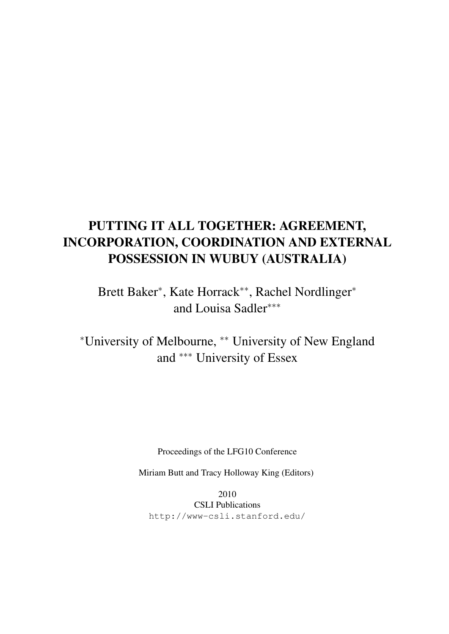# PUTTING IT ALL TOGETHER: AGREEMENT, INCORPORATION, COORDINATION AND EXTERNAL POSSESSION IN WUBUY (AUSTRALIA)

Brett Baker<sup>\*</sup>, Kate Horrack<sup>\*\*</sup>, Rachel Nordlinger<sup>\*</sup> and Louisa Sadler∗∗∗

<sup>∗</sup>University of Melbourne, ∗∗ University of New England and ∗∗∗ University of Essex

Proceedings of the LFG10 Conference

Miriam Butt and Tracy Holloway King (Editors)

2010 CSLI Publications http://www-csli.stanford.edu/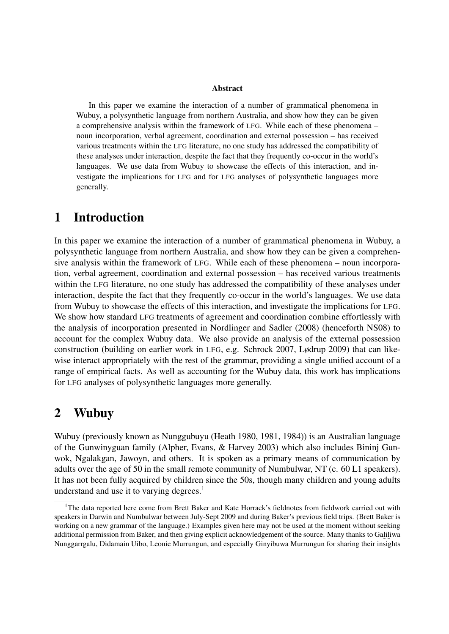#### Abstract

In this paper we examine the interaction of a number of grammatical phenomena in Wubuy, a polysynthetic language from northern Australia, and show how they can be given a comprehensive analysis within the framework of LFG. While each of these phenomena – noun incorporation, verbal agreement, coordination and external possession – has received various treatments within the LFG literature, no one study has addressed the compatibility of these analyses under interaction, despite the fact that they frequently co-occur in the world's languages. We use data from Wubuy to showcase the effects of this interaction, and investigate the implications for LFG and for LFG analyses of polysynthetic languages more generally.

## 1 Introduction

In this paper we examine the interaction of a number of grammatical phenomena in Wubuy, a polysynthetic language from northern Australia, and show how they can be given a comprehensive analysis within the framework of LFG. While each of these phenomena – noun incorporation, verbal agreement, coordination and external possession – has received various treatments within the LFG literature, no one study has addressed the compatibility of these analyses under interaction, despite the fact that they frequently co-occur in the world's languages. We use data from Wubuy to showcase the effects of this interaction, and investigate the implications for LFG. We show how standard LFG treatments of agreement and coordination combine effortlessly with the analysis of incorporation presented in Nordlinger and Sadler (2008) (henceforth NS08) to account for the complex Wubuy data. We also provide an analysis of the external possession construction (building on earlier work in LFG, e.g. Schrock 2007, Lødrup 2009) that can likewise interact appropriately with the rest of the grammar, providing a single unified account of a range of empirical facts. As well as accounting for the Wubuy data, this work has implications for LFG analyses of polysynthetic languages more generally.

## 2 Wubuy

Wubuy (previously known as Nunggubuyu (Heath 1980, 1981, 1984)) is an Australian language of the Gunwinyguan family (Alpher, Evans, & Harvey 2003) which also includes Bininj Gunwok, Ngalakgan, Jawoyn, and others. It is spoken as a primary means of communication by adults over the age of 50 in the small remote community of Numbulwar, NT (c. 60 L1 speakers). It has not been fully acquired by children since the 50s, though many children and young adults understand and use it to varying degrees.<sup>1</sup>

<sup>&</sup>lt;sup>1</sup>The data reported here come from Brett Baker and Kate Horrack's fieldnotes from fieldwork carried out with speakers in Darwin and Numbulwar between July-Sept 2009 and during Baker's previous field trips. (Brett Baker is working on a new grammar of the language.) Examples given here may not be used at the moment without seeking additional permission from Baker, and then giving explicit acknowledgement of the source. Many thanks to Galiliwa Nunggarrgalu, Didamain Uibo, Leonie Murrungun, and especially Ginyibuwa Murrungun for sharing their insights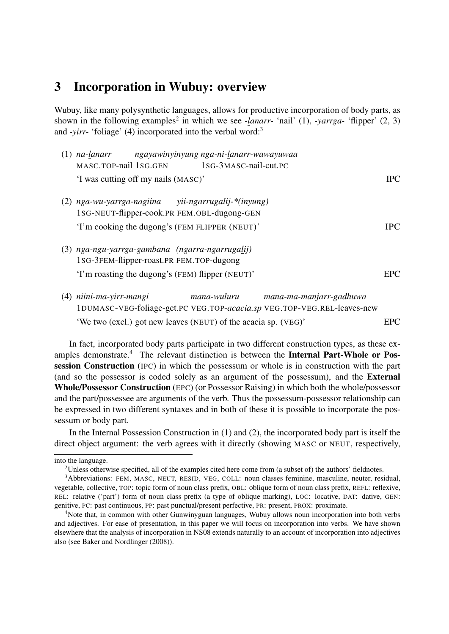## 3 Incorporation in Wubuy: overview

Wubuy, like many polysynthetic languages, allows for productive incorporation of body parts, as shown in the following examples<sup>2</sup> in which we see *-lanarr-* 'nail' (1), *-yarrga-* 'flipper' (2, 3) and *-yirr-* 'foliage' (4) incorporated into the verbal word:<sup>3</sup>

|     | ngayawinyinyung nga-ni-lanarr-wawayuwaa<br>na-lanarr                                           |            |
|-----|------------------------------------------------------------------------------------------------|------------|
|     | MASC.TOP-nail 1SG.GEN 1SG-3MASC-nail-cut.PC                                                    |            |
|     | 'I was cutting off my nails (MASC)'                                                            | <b>IPC</b> |
| (2) | nga-wu-yarrga-nagiina yii-ngarrugalij-*(inyung)<br>1SG-NEUT-flipper-cook.PR FEM.OBL-dugong-GEN |            |
|     | 'I'm cooking the dugong's (FEM FLIPPER (NEUT)'                                                 | <b>IPC</b> |
| (3) | nga-ngu-yarrga-gambana (ngarra-ngarrugalij)<br>1SG-3FEM-flipper-roast.PR FEM.TOP-dugong        |            |
|     | 'I'm roasting the dugong's (FEM) flipper (NEUT)'                                               | EPC        |

(4) *niini-ma-yirr-mangi* 1DUMASC-VEG-foliage-get.PC VEG.TOP-*acacia.sp* VEG.TOP-VEG.REL-leaves-new *mana-wuluru mana-ma-manjarr-gadhuwa* 'We two (excl.) got new leaves (NEUT) of the acacia sp. (VEG)' EPC

In fact, incorporated body parts participate in two different construction types, as these examples demonstrate.<sup>4</sup> The relevant distinction is between the **Internal Part-Whole or Pos**session Construction (IPC) in which the possessum or whole is in construction with the part (and so the possessor is coded solely as an argument of the possessum), and the External Whole/Possessor Construction (EPC) (or Possessor Raising) in which both the whole/possessor and the part/possessee are arguments of the verb. Thus the possessum-possessor relationship can be expressed in two different syntaxes and in both of these it is possible to incorporate the possessum or body part.

In the Internal Possession Construction in (1) and (2), the incorporated body part is itself the direct object argument: the verb agrees with it directly (showing MASC or NEUT, respectively,

into the language.

<sup>&</sup>lt;sup>2</sup>Unless otherwise specified, all of the examples cited here come from (a subset of) the authors' fieldnotes.

<sup>3</sup>Abbreviations: FEM, MASC, NEUT, RESID, VEG, COLL: noun classes feminine, masculine, neuter, residual, vegetable, collective, TOP: topic form of noun class prefix, OBL: oblique form of noun class prefix, REFL: reflexive, REL: relative ('part') form of noun class prefix (a type of oblique marking), LOC: locative, DAT: dative, GEN: genitive, PC: past continuous, PP: past punctual/present perfective, PR: present, PROX: proximate.

<sup>4</sup>Note that, in common with other Gunwinyguan languages, Wubuy allows noun incorporation into both verbs and adjectives. For ease of presentation, in this paper we will focus on incorporation into verbs. We have shown elsewhere that the analysis of incorporation in NS08 extends naturally to an account of incorporation into adjectives also (see Baker and Nordlinger (2008)).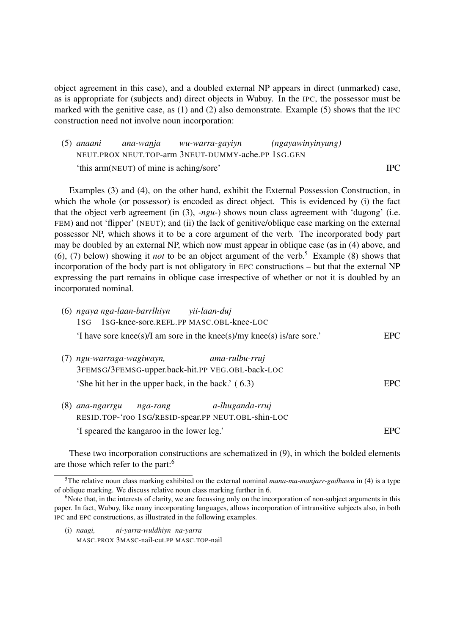object agreement in this case), and a doubled external NP appears in direct (unmarked) case, as is appropriate for (subjects and) direct objects in Wubuy. In the IPC, the possessor must be marked with the genitive case, as (1) and (2) also demonstrate. Example (5) shows that the IPC construction need not involve noun incorporation:

| $(5)$ anaani |                                         | ana-wanja wu-warra-gayiyn                          | (ngayawinyinyung) |            |
|--------------|-----------------------------------------|----------------------------------------------------|-------------------|------------|
|              |                                         | NEUT.PROX NEUT.TOP-arm 3NEUT-DUMMY-ache.PP 1SG.GEN |                   |            |
|              | 'this arm(NEUT) of mine is aching/sore' |                                                    |                   | <b>IPC</b> |

Examples (3) and (4), on the other hand, exhibit the External Possession Construction, in which the whole (or possessor) is encoded as direct object. This is evidenced by (i) the fact that the object verb agreement (in (3), *-ngu-*) shows noun class agreement with 'dugong' (i.e. FEM) and not 'flipper' (NEUT); and (ii) the lack of genitive/oblique case marking on the external possessor NP, which shows it to be a core argument of the verb. The incorporated body part may be doubled by an external NP, which now must appear in oblique case (as in (4) above, and (6), (7) below) showing it *not* to be an object argument of the verb.<sup>5</sup> Example (8) shows that incorporation of the body part is not obligatory in EPC constructions – but that the external NP expressing the part remains in oblique case irrespective of whether or not it is doubled by an incorporated nominal.

|     | (6) ngaya nga-laan-barrlhiyn yii-laan-duj                                                      |      |
|-----|------------------------------------------------------------------------------------------------|------|
|     | 1sG 1sG-knee-sore.REFL.PP MASC.OBL-knee-LOC                                                    |      |
|     | 'I have sore knee(s)/I am sore in the knee(s)/my knee(s) is/are sore.'                         | EPC. |
| (7) | ngu-warraga-wagiwayn,<br>ama-rulbu-rruj<br>3FEMSG/3FEMSG-upper.back-hit.PP VEG.OBL-back-LOC    |      |
|     | 'She hit her in the upper back, in the back.' (6.3)                                            | EPC. |
| (8) | a-lhuganda-rruj<br>ana-ngarrgu nga-rang<br>RESID.TOP-'roo 1sG/RESID-spear.PP NEUT.OBL-shin-LOC |      |
|     | 'I speared the kangaroo in the lower leg.'                                                     | EPC  |

These two incorporation constructions are schematized in (9), in which the bolded elements are those which refer to the part:<sup>6</sup>

(i) *naagi,* MASC.PROX 3MASC-nail-cut.PP MASC.TOP-nail*ni-yarra-wuldhiyn na-yarra*

<sup>5</sup>The relative noun class marking exhibited on the external nominal *mana-ma-manjarr-gadhuwa* in (4) is a type of oblique marking. We discuss relative noun class marking further in 6.

<sup>&</sup>lt;sup>6</sup>Note that, in the interests of clarity, we are focussing only on the incorporation of non-subject arguments in this paper. In fact, Wubuy, like many incorporating languages, allows incorporation of intransitive subjects also, in both IPC and EPC constructions, as illustrated in the following examples.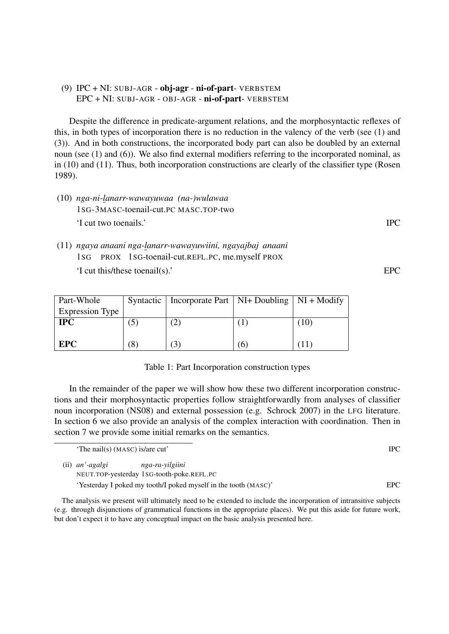#### (9)  $IPC + NI$ : SUBJ-AGR - obj-agr - ni-of-part- VERBSTEM EPC + NI: SUBJ-AGR - OBJ-AGR - ni-of-part- VERBSTEM

Despite the difference in predicate-argument relations, and the morphosyntactic reflexes of this, in both types of incorporation there is no reduction in the valency of the verb (see (1) and (3)). And in both constructions, the incorporated body part can also be doubled by an external noun (see (1) and (6)). We also find external modifiers referring to the incorporated nominal, as in (10) and (11). Thus, both incorporation constructions are clearly of the classifier type (Rosen 1989).

- (10) *nga-ni-lanarr-wawayuwaa (na-)wulawaa* 1SG-3MASC-toenail-cut.PC MASC.TOP-two 'I cut two toenails.' IPC
- (11) ngaya anaani nga-<u>l</u>anarr-wawayuwiini, ngayajbaj anaani 1SG PROX 1SG-toenail-cut.REFL.PC, me.myself PROX 'I cut this/these toenail(s).' EPC

| Part-Whole             |    | Syntactic   Incorporate Part   NI+ Doubling   NI + Modify |          |         |
|------------------------|----|-----------------------------------------------------------|----------|---------|
| <b>Expression Type</b> |    |                                                           |          |         |
| <b>IPC</b>             |    |                                                           |          | 10      |
|                        |    |                                                           |          |         |
| <b>EPC</b>             | Ιŏ | 3                                                         | $\sigma$ | $\perp$ |

#### Table 1: Part Incorporation construction types

In the remainder of the paper we will show how these two different incorporation constructions and their morphosyntactic properties follow straightforwardly from analyses of classifier noun incorporation (NS08) and external possession (e.g. Schrock 2007) in the LFG literature. In section 6 we also provide an analysis of the complex interaction with coordination. Then in section 7 we provide some initial remarks on the semantics.

'The nail(s) (MASC) is/are cut' IPC

(ii) *an'-agalgi* NEUT.TOP-yesterday 1SG-tooth-poke.REFL.PC *nga-ra-yilgiini*

The analysis we present will ultimately need to be extended to include the incorporation of intransitive subjects (e.g. through disjunctions of grammatical functions in the appropriate places). We put this aside for future work, but don't expect it to have any conceptual impact on the basic analysis presented here.

'Yesterday I poked my tooth/I poked myself in the tooth (MASC)' EPC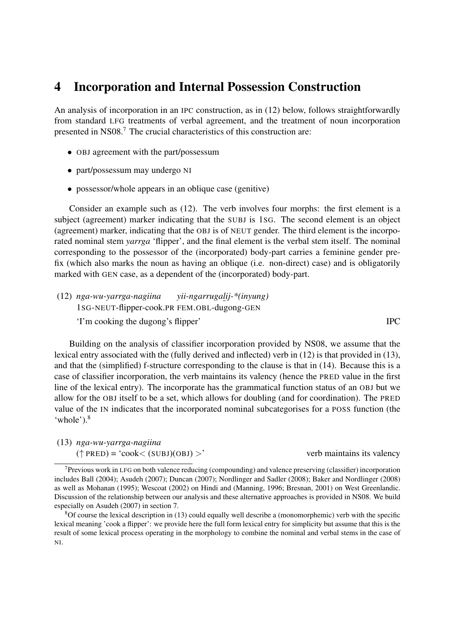## 4 Incorporation and Internal Possession Construction

An analysis of incorporation in an IPC construction, as in (12) below, follows straightforwardly from standard LFG treatments of verbal agreement, and the treatment of noun incorporation presented in NS08.<sup>7</sup> The crucial characteristics of this construction are:

- OBJ agreement with the part/possessum
- part/possessum may undergo NI
- possessor/whole appears in an oblique case (genitive)

Consider an example such as (12). The verb involves four morphs: the first element is a subject (agreement) marker indicating that the SUBJ is 1SG. The second element is an object (agreement) marker, indicating that the OBJ is of NEUT gender. The third element is the incorporated nominal stem *yarrga* 'flipper', and the final element is the verbal stem itself. The nominal corresponding to the possessor of the (incorporated) body-part carries a feminine gender prefix (which also marks the noun as having an oblique (i.e. non-direct) case) and is obligatorily marked with GEN case, as a dependent of the (incorporated) body-part.

(12) *nga-wu-yarrga-nagiina* 1SG-NEUT-flipper-cook.PR *yii-ngarrugalij-\*(inyung)* FEM.OBL-dugong-GEN 'I'm cooking the dugong's flipper' IPC

Building on the analysis of classifier incorporation provided by NS08, we assume that the lexical entry associated with the (fully derived and inflected) verb in (12) is that provided in (13), and that the (simplified) f-structure corresponding to the clause is that in (14). Because this is a case of classifier incorporation, the verb maintains its valency (hence the PRED value in the first line of the lexical entry). The incorporate has the grammatical function status of an OBJ but we allow for the OBJ itself to be a set, which allows for doubling (and for coordination). The PRED value of the IN indicates that the incorporated nominal subcategorises for a POSS function (the 'whole').<sup>8</sup>

| (13) nga-wu-yarrga-nagiina                |                            |
|-------------------------------------------|----------------------------|
| $(\uparrow$ PRED) = 'cook< (SUBJ)(OBJ) >' | verb maintains its valency |

<sup>7</sup>Previous work in LFG on both valence reducing (compounding) and valence preserving (classifier) incorporation includes Ball (2004); Asudeh (2007); Duncan (2007); Nordlinger and Sadler (2008); Baker and Nordlinger (2008) as well as Mohanan (1995); Wescoat (2002) on Hindi and (Manning, 1996; Bresnan, 2001) on West Greenlandic. Discussion of the relationship between our analysis and these alternative approaches is provided in NS08. We build especially on Asudeh (2007) in section 7.

<sup>8</sup>Of course the lexical description in (13) could equally well describe a (monomorphemic) verb with the specific lexical meaning 'cook a flipper': we provide here the full form lexical entry for simplicity but assume that this is the result of some lexical process operating in the morphology to combine the nominal and verbal stems in the case of NI.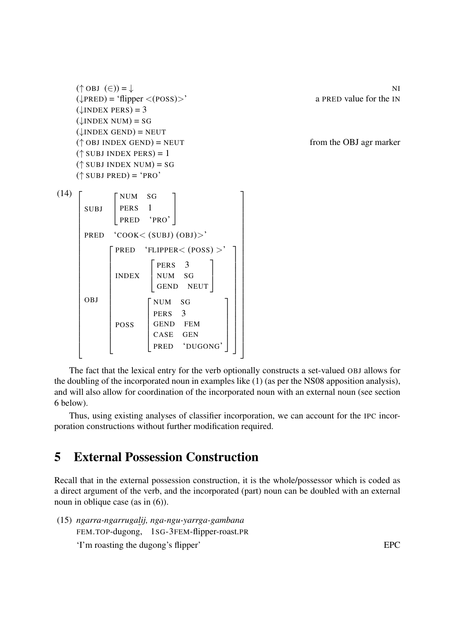```
(† \text{OBJ } (\in) ) = \downarrow(\downarrow PRED) = 'flipper < (POSS)<sup>'</sup> a PRED value for the IN
           (\downarrowINDEX PERS) = 3
           (\downarrowINDEX NUM) = SG
           (\downarrowINDEX GEND) = NEUT
            (\uparrow OBJ INDEX GEND) = NEUT from the OBJ agr marker
            (\uparrow SUBJ INDEX PERS) = 1
            (<sup>\uparrow</sup> SUBJ INDEX NUM) = SG
            (\uparrow SUBJ PRED) = 'PRO'
(14) 
            \overline{1}\overline{1}\overline{1}\overline{1}\overline{1}\mathbf{I}\overline{1}\overline{1}\overline{1}\overline{1}\overline{1}\overline{1}\overline{1}\mathbf{I}\overline{1}\overline{1}\overline{1}\overline{1}\overline{1}\overline{1}\mathbf{I}\overline{1}\overline{1}\overline{1}\overline{1}\overline{1}SUBJ

NUM SG
                                  \vertPERS<sub>1</sub>
                                      PRED 'PRO'
                                                                        1
                                                                        \overline{\phantom{a}}PRED 'COOK< (SUBJ) (OBJ)>'
                OBJ
                               \sqrt{ }\overline{\phantom{a}}\overline{\phantom{a}}\overline{\phantom{a}}\overline{\phantom{a}}\overline{1}\overline{1}\overline{1}\overline{\phantom{a}}\overline{\phantom{a}}\overline{\phantom{a}}\overline{\phantom{a}}\overline{1}\overline{1}\overline{1}\overline{1}PRED 'FLIPPER< (POSS) >'
                                   INDEX
                                                         \sqrt{ }\overline{\phantom{a}}PERS 3
                                                             NUM SG
                                                             GEND NEUT
                                                                                               1
                                                                                               \overline{1}POSS
                                                       \sqrt{ }\overline{\phantom{a}}\overline{\phantom{a}}\overline{1}\overline{\phantom{a}}\overline{\phantom{a}}NUM SG
                                                           PERS<sub>3</sub>
                                                           GEND FEM
                                                           CASE GEN
                                                           PRED 'DUGONG'
                                                                                                        1
                                                                                                        \overline{1}\overline{1}\overline{ }\overline{1}\overline{ }1
                                                                                                             \overline{1}\overline{1}\overline{1}\overline{1}\mathbf{I}\overline{1}\overline{1}\overline{1}\overline{1}\overline{1}\overline{1}\mathbf{I}\overline{1}\overline{1}\overline{1}1
                                                                                                                  \overline{1}\overline{1}\overline{1}\overline{1}\overline{1}\frac{1}{2}\vert\overline{1}\overline{1}\overline{ }\overline{ }\overline{ }\overline{ }\frac{1}{2}\vert\overline{1}\overline{ }\overline{ }\overline{ }\overline{1}\frac{1}{2}\vert\overline{1}\overline{1}\overline{ }\overline{ }
```
The fact that the lexical entry for the verb optionally constructs a set-valued OBJ allows for the doubling of the incorporated noun in examples like (1) (as per the NS08 apposition analysis), and will also allow for coordination of the incorporated noun with an external noun (see section 6 below).

Thus, using existing analyses of classifier incorporation, we can account for the IPC incorporation constructions without further modification required.

## 5 External Possession Construction

Recall that in the external possession construction, it is the whole/possessor which is coded as a direct argument of the verb, and the incorporated (part) noun can be doubled with an external noun in oblique case (as in  $(6)$ ).

(15) *ngarra-ngarrugalij, nga-ngu-yarrga-gambana* FEM.TOP-dugong, 1SG-3FEM-flipper-roast.PR 'I'm roasting the dugong's flipper' EPC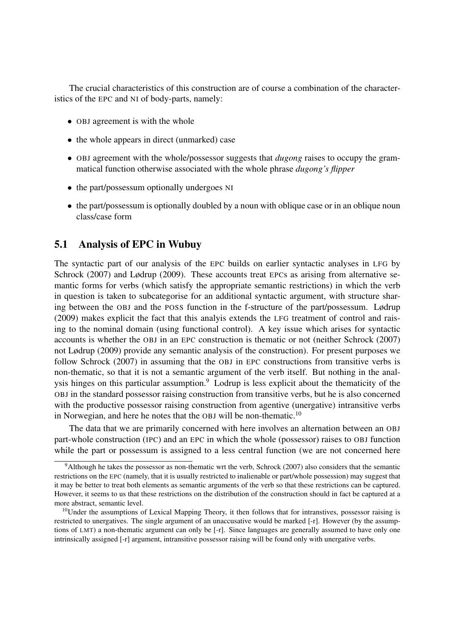The crucial characteristics of this construction are of course a combination of the characteristics of the EPC and NI of body-parts, namely:

- OBJ agreement is with the whole
- the whole appears in direct (unmarked) case
- OBJ agreement with the whole/possessor suggests that *dugong* raises to occupy the grammatical function otherwise associated with the whole phrase *dugong's flipper*
- the part/possessum optionally undergoes NI
- the part/possessum is optionally doubled by a noun with oblique case or in an oblique noun class/case form

### 5.1 Analysis of EPC in Wubuy

The syntactic part of our analysis of the EPC builds on earlier syntactic analyses in LFG by Schrock (2007) and Lødrup (2009). These accounts treat EPCs as arising from alternative semantic forms for verbs (which satisfy the appropriate semantic restrictions) in which the verb in question is taken to subcategorise for an additional syntactic argument, with structure sharing between the OBJ and the POSS function in the f-structure of the part/possessum. Lødrup (2009) makes explicit the fact that this analyis extends the LFG treatment of control and raising to the nominal domain (using functional control). A key issue which arises for syntactic accounts is whether the OBJ in an EPC construction is thematic or not (neither Schrock (2007) not Lødrup (2009) provide any semantic analysis of the construction). For present purposes we follow Schrock (2007) in assuming that the OBJ in EPC constructions from transitive verbs is non-thematic, so that it is not a semantic argument of the verb itself. But nothing in the analysis hinges on this particular assumption.<sup>9</sup> Lodrup is less explicit about the thematicity of the OBJ in the standard possessor raising construction from transitive verbs, but he is also concerned with the productive possessor raising construction from agentive (unergative) intransitive verbs in Norwegian, and here he notes that the OBJ will be non-thematic.<sup>10</sup>

The data that we are primarily concerned with here involves an alternation between an OBJ part-whole construction (IPC) and an EPC in which the whole (possessor) raises to OBJ function while the part or possessum is assigned to a less central function (we are not concerned here

<sup>9</sup>Although he takes the possessor as non-thematic wrt the verb, Schrock (2007) also considers that the semantic restrictions on the EPC (namely, that it is usually restricted to inalienable or part/whole possession) may suggest that it may be better to treat both elements as semantic arguments of the verb so that these restrictions can be captured. However, it seems to us that these restrictions on the distribution of the construction should in fact be captured at a more abstract, semantic level.

 $10$ Under the assumptions of Lexical Mapping Theory, it then follows that for intranstives, possessor raising is restricted to unergatives. The single argument of an unaccusative would be marked [-r]. However (by the assumptions of LMT) a non-thematic argument can only be [-r]. Since languages are generally assumed to have only one intrinsically assigned [-r] argument, intransitive possessor raising will be found only with unergative verbs.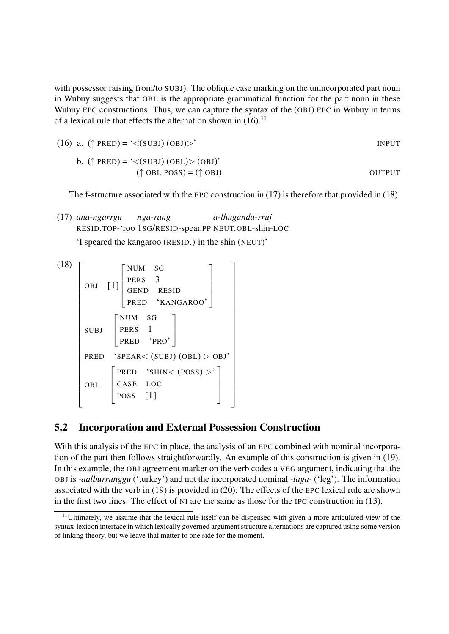with possessor raising from/to SUBJ). The oblique case marking on the unincorporated part noun in Wubuy suggests that OBL is the appropriate grammatical function for the part noun in these Wubuy EPC constructions. Thus, we can capture the syntax of the (OBJ) EPC in Wubuy in terms of a lexical rule that effects the alternation shown in  $(16)$ .<sup>11</sup>

(16) a. 
$$
(\uparrow
$$
 PRED) = '<(SUBJ) (OBJ)>'  
b.  $(\uparrow$  PRED) = '<(SUBJ) (OPI)>(OPI) (OPI)<sup>'</sup>

b. 
$$
(\uparrow PRED) = '<(SUBJ) (OBL) > (OBI)'
$$
  
( $\uparrow OBL POSS) = (\uparrow OBI)$  OUTPUT

The f-structure associated with the EPC construction in (17) is therefore that provided in (18):

(17) *ana-ngarrgu* RESID.TOP-'roo 1SG/RESID-spear.PP NEUT.OBL-shin-LOC *nga-rang a-lhuganda-rruj*

'I speared the kangaroo (RESID.) in the shin (NEUT)'

$$
\begin{array}{c}\n\text{(18)}\\
\text{(18)}\\
\text{(DBJ [1]}\n\end{array}\n\left[\begin{array}{c}\n\text{NUM} & \text{SG} \\
\text{PERS} & 3 \\
\text{GEND} & \text{RESID} \\
\text{PRED} & \text{'KANGAROO'}\n\end{array}\right]\n\right]
$$
\n
$$
\text{SUBJ}\n\left[\begin{array}{c}\n\text{NUM} & \text{SG} \\
\text{PRES} & 1 \\
\text{PRED} & \text{'PRO'}\n\end{array}\right]
$$
\n
$$
\text{PRED} \quad \text{'SPEAR} < (\text{SUBJ}) (\text{OBL}) > \text{OBI'} \\
\text{OBL}\n\left[\begin{array}{ccc}\n\text{PRED} & \text{'SHIN} < (\text{POSS}) > \\
\text{CASE} & \text{LOC} \\
\text{POSS} & [1]\n\end{array}\right]\n\right]
$$

### 5.2 Incorporation and External Possession Construction

With this analysis of the EPC in place, the analysis of an EPC combined with nominal incorporation of the part then follows straightforwardly. An example of this construction is given in (19). In this example, the OBJ agreement marker on the verb codes a VEG argument, indicating that the OBJ is *-aalburrunggu* ('turkey') and not the incorporated nominal *-laga-* ('leg'). The information associated with the verb in (19) is provided in (20). The effects of the EPC lexical rule are shown in the first two lines. The effect of NI are the same as those for the IPC construction in (13).

<sup>&</sup>lt;sup>11</sup>Ultimately, we assume that the lexical rule itself can be dispensed with given a more articulated view of the syntax-lexicon interface in which lexically governed argument structure alternations are captured using some version of linking theory, but we leave that matter to one side for the moment.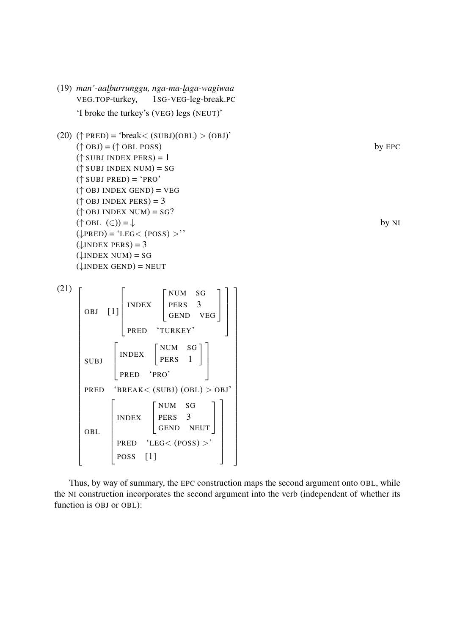

Thus, by way of summary, the EPC construction maps the second argument onto OBL, while the NI construction incorporates the second argument into the verb (independent of whether its function is OBJ or OBL):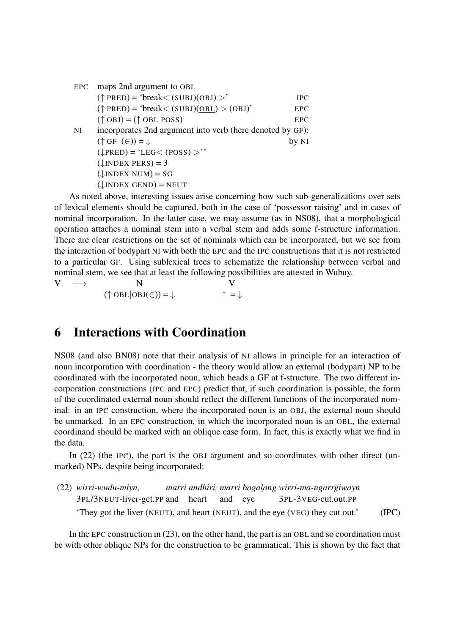| EPC       | maps 2nd argument to OBL                                  |            |
|-----------|-----------------------------------------------------------|------------|
|           | $(\uparrow$ PRED) = 'break< (SUBJ)(OBJ) >'                | <b>IPC</b> |
|           | $(\uparrow$ PRED) = 'break < (SUBJ)(OBL) > (OBJ)'         | EPC        |
|           | $(\uparrow$ OBJ) = ( $\uparrow$ OBL POSS)                 | EPC        |
| <b>NI</b> | incorporates 2nd argument into verb (here denoted by GF): |            |
|           | $(\uparrow$ GF $(\in)$ ) = $\downarrow$                   | by NI      |
|           | $(\downarrow$ PRED) = 'LEG< (POSS) >''                    |            |
|           | $(\downarrow$ INDEX PERS) = 3                             |            |
|           | $(\downarrow$ INDEX NUM) = SG                             |            |
|           | $(\downarrow$ INDEX GEND) = NEUT                          |            |

As noted above, interesting issues arise concerning how such sub-generalizations over sets of lexical elements should be captured, both in the case of 'possessor raising' and in cases of nominal incorporation. In the latter case, we may assume (as in NS08), that a morphological operation attaches a nominal stem into a verbal stem and adds some f-structure information. There are clear restrictions on the set of nominals which can be incorporated, but we see from the interaction of bodypart NI with both the EPC and the IPC constructions that it is not restricted to a particular GF. Using sublexical trees to schematize the relationship between verbal and nominal stem, we see that at least the following possibilities are attested in Wubuy.

 $V \longrightarrow$  $(\uparrow$  OBL $|OBJ(\in)) = \downarrow$ V  $\uparrow = \downarrow$ 

## 6 Interactions with Coordination

NS08 (and also BN08) note that their analysis of NI allows in principle for an interaction of noun incorporation with coordination - the theory would allow an external (bodypart) NP to be coordinated with the incorporated noun, which heads a GF at f-structure. The two different incorporation constructions (IPC and EPC) predict that, if such coordination is possible, the form of the coordinated external noun should reflect the different functions of the incorporated nominal: in an IPC construction, where the incorporated noun is an OBJ, the external noun should be unmarked. In an EPC construction, in which the incorporated noun is an OBL, the external coordinand should be marked with an oblique case form. In fact, this is exactly what we find in the data.

In (22) (the IPC), the part is the OBJ argument and so coordinates with other direct (unmarked) NPs, despite being incorporated:

```
(22) wirri-wudu-miyn,
     3PL/3NEUT-liver-get.PP
and
heart
                            marri
andhiri,
marri
bagalang
wirri-ma-ngarrgiwayn
                                          and
eye
                                                         3PL-3VEG-cut.out.PP
     'They got the liver (NEUT), and heart (NEUT), and the eye (VEG) they cut out.' (IPC)
```
In the EPC construction in (23), on the other hand, the part is an OBL and so coordination must be with other oblique NPs for the construction to be grammatical. This is shown by the fact that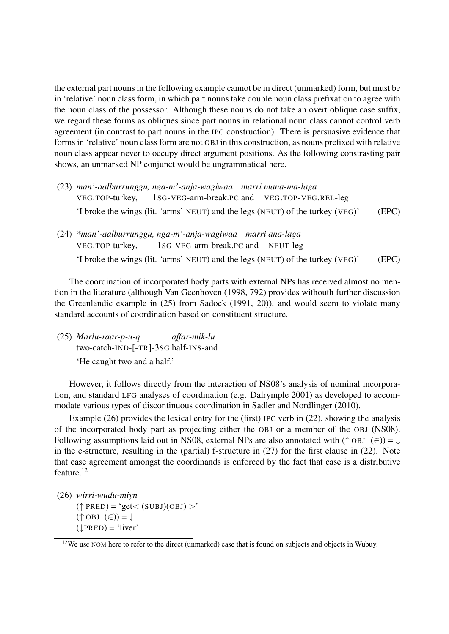the external part nouns in the following example cannot be in direct (unmarked) form, but must be in 'relative' noun class form, in which part nouns take double noun class prefixation to agree with the noun class of the possessor. Although these nouns do not take an overt oblique case suffix, we regard these forms as obliques since part nouns in relational noun class cannot control verb agreement (in contrast to part nouns in the IPC construction). There is persuasive evidence that forms in 'relative' noun class form are not OBJ in this construction, as nouns prefixed with relative noun class appear never to occupy direct argument positions. As the following constrasting pair shows, an unmarked NP conjunct would be ungrammatical here.

- (23) *man'-aalburrunggu, nga-m'-anja-wagiwaa marri mana-ma-laga* VEG.TOP-turkey, 1SG-VEG-arm-break.PC and VEG.TOP-VEG.REL-leg 'I broke the wings (lit. 'arms' NEUT) and the legs (NEUT) of the turkey (VEG)' (EPC)
- (24) *\*man'-aalburrunggu, nga-m'-anja-wagiwaa marri ana-laga* VEG.TOP-turkey, 1SG-VEG-arm-break.PC and NEUT-leg 'I broke the wings (lit. 'arms' NEUT) and the legs (NEUT) of the turkey (VEG)' (EPC)

The coordination of incorporated body parts with external NPs has received almost no mention in the literature (although Van Geenhoven (1998, 792) provides withouth further discussion the Greenlandic example in (25) from Sadock (1991, 20)), and would seem to violate many standard accounts of coordination based on constituent structure.

(25) *Marlu-raar-p-u-q* two-catch-IND-[-TR]-3SG half-INS-and *affar-mik-lu* 'He caught two and a half.'

However, it follows directly from the interaction of NS08's analysis of nominal incorporation, and standard LFG analyses of coordination (e.g. Dalrymple 2001) as developed to accommodate various types of discontinuous coordination in Sadler and Nordlinger (2010).

Example (26) provides the lexical entry for the (first) IPC verb in (22), showing the analysis of the incorporated body part as projecting either the OBJ or a member of the OBJ (NS08). Following assumptions laid out in NS08, external NPs are also annotated with ( $\uparrow$  OBJ (∈)) =  $\downarrow$ in the c-structure, resulting in the (partial) f-structure in (27) for the first clause in (22). Note that case agreement amongst the coordinands is enforced by the fact that case is a distributive feature.<sup>12</sup>

(26) *wirri-wudu-miyn*

 $(\uparrow$  PRED) = 'get < (SUBJ)(OBJ) >'  $(\uparrow$  OBJ  $(\in)$ ) =  $\downarrow$  $(\downarrow$ PRED) = 'liver'

<sup>&</sup>lt;sup>12</sup>We use NOM here to refer to the direct (unmarked) case that is found on subjects and objects in Wubuy.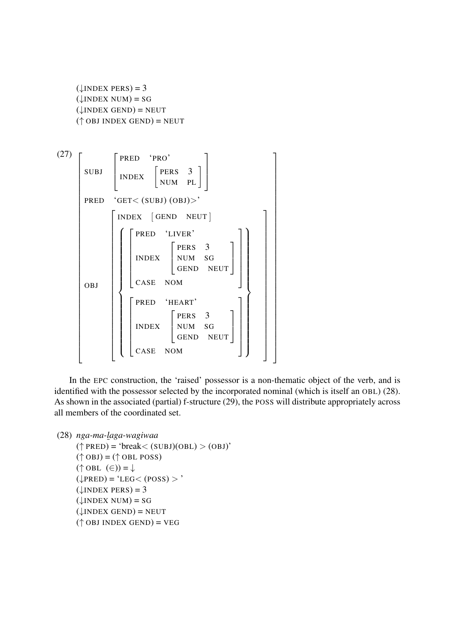```
(\downarrowINDEX PERS) = 3
(\downarrowINDEX NUM) = SG
(\downarrowINDEX GEND) = NEUT
(<sup>\uparrow</sup> OBJ INDEX GEND) = NEUT
```


In the EPC construction, the 'raised' possessor is a non-thematic object of the verb, and is identified with the possessor selected by the incorporated nominal (which is itself an OBL) (28). As shown in the associated (partial) f-structure (29), the POSS will distribute appropriately across all members of the coordinated set.

```
(28) nga-ma-laga-wagiwaa
```

```
(\uparrow PRED) = 'break < (SUBJ)(OBL) > (OBJ)'
(\uparrow OBJ) = (\uparrow OBL POSS)
(\uparrow OBL (\in)) = \downarrow(\downarrowPRED) = 'LEG< (POSS) > '
(\downarrowINDEX PERS) = 3
(\downarrowINDEX NUM) = SG
(\downarrowINDEX GEND) = NEUT
(\uparrow OBJ INDEX GEND) = VEG
```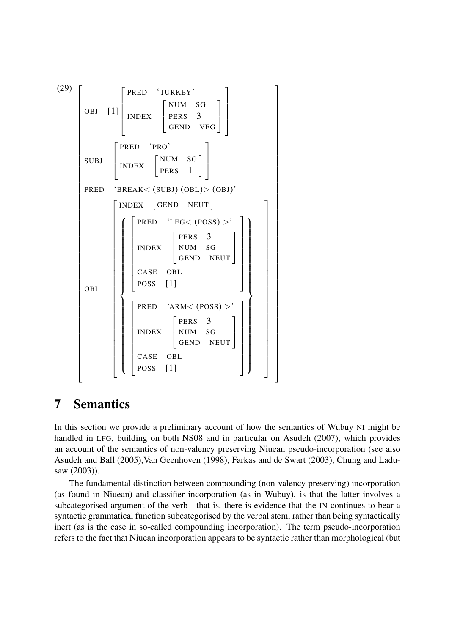

# 7 Semantics

In this section we provide a preliminary account of how the semantics of Wubuy NI might be handled in LFG, building on both NS08 and in particular on Asudeh (2007), which provides an account of the semantics of non-valency preserving Niuean pseudo-incorporation (see also Asudeh and Ball (2005),Van Geenhoven (1998), Farkas and de Swart (2003), Chung and Ladusaw (2003)).

The fundamental distinction between compounding (non-valency preserving) incorporation (as found in Niuean) and classifier incorporation (as in Wubuy), is that the latter involves a subcategorised argument of the verb - that is, there is evidence that the IN continues to bear a syntactic grammatical function subcategorised by the verbal stem, rather than being syntactically inert (as is the case in so-called compounding incorporation). The term pseudo-incorporation refers to the fact that Niuean incorporation appears to be syntactic rather than morphological (but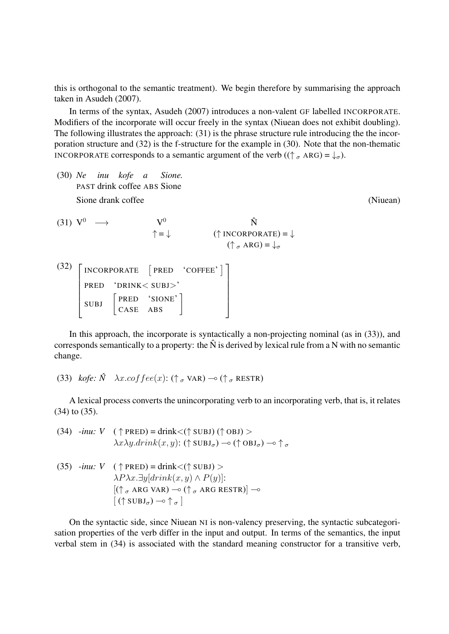this is orthogonal to the semantic treatment). We begin therefore by summarising the approach taken in Asudeh (2007).

In terms of the syntax, Asudeh (2007) introduces a non-valent GF labelled INCORPORATE. Modifiers of the incorporate will occur freely in the syntax (Niuean does not exhibit doubling). The following illustrates the approach: (31) is the phrase structure rule introducing the the incorporation structure and (32) is the f-structure for the example in (30). Note that the non-thematic INCORPORATE corresponds to a semantic argument of the verb ( $(\uparrow_{\sigma} \text{ARG}) = \downarrow_{\sigma}$ ).

(30) *Ne inu kofe a* PAST drink coffee ABS Sione *Sione.* Sione drank coffee (Niuean)

(31)  $V^0 \rightarrow V^0$ ↑ = ↓  $\mathbf{\hat{N}}$  $(\uparrow$  INCORPORATE) =  $\downarrow$  $(\uparrow \, _{\sigma} \text{ARG}) = \downarrow_{\sigma}$  $(32)$   $\Gamma$  $\begin{array}{c} \begin{array}{c} \begin{array}{c} \end{array} \end{array} \end{array}$ INCORPORATE [PRED 'COFFEE'] PRED 'DRINK< SUBJ>' SUBJ  $\begin{bmatrix} \text{PRED} & 'SIONE' \\ \text{CASE} & \text{ABS} \end{bmatrix}$ 1  $\begin{array}{c} \begin{array}{c} \begin{array}{c} \end{array} \\ \begin{array}{c} \end{array} \end{array} \end{array}$ 

In this approach, the incorporate is syntactically a non-projecting nominal (as in (33)), and corresponds semantically to a property: the  $\hat{N}$  is derived by lexical rule from a N with no semantic change.

(33) *kofe:*  $\hat{N}$   $\lambda x. coffee(x)$ : ( $\uparrow_{\sigma}$  VAR)  $\multimap$  ( $\uparrow_{\sigma}$  RESTR)

A lexical process converts the unincorporating verb to an incorporating verb, that is, it relates (34) to (35).

(34) -*inu*: 
$$
V
$$
 ( $\uparrow$  PRED) =  $\text{drink} < (\uparrow \text{SUBJ}) (\uparrow \text{OBJ}) >$   
 $\lambda x \lambda y \cdot \text{drink}(x, y)$ : ( $\uparrow \text{SUBJ}_{\sigma}$ )  $\rightarrow (\uparrow \text{OBJ}_{\sigma}) \rightarrow \uparrow_{\sigma}$ 

 $(35)$  *-inu: V* (  $\uparrow$  PRED) = drink <( $\uparrow$  SUBJ) >  $\lambda P \lambda x. \exists y[drink(x, y) \wedge P(y)]$ :  $[(\uparrow_{\sigma} \text{ARG VAR}) \negthinspace \circ \negthinspace (\uparrow_{\sigma} \text{ARG RESTR})] \negthinspace \circ$  $[(\uparrow \text{SUBJ}_{\sigma}) \rightarrow \uparrow_{\sigma}]$ 

On the syntactic side, since Niuean NI is non-valency preserving, the syntactic subcategorisation properties of the verb differ in the input and output. In terms of the semantics, the input verbal stem in (34) is associated with the standard meaning constructor for a transitive verb,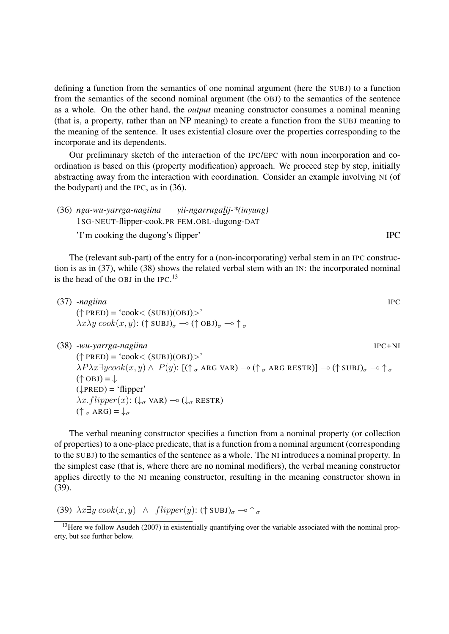defining a function from the semantics of one nominal argument (here the SUBJ) to a function from the semantics of the second nominal argument (the OBJ) to the semantics of the sentence as a whole. On the other hand, the *output* meaning constructor consumes a nominal meaning (that is, a property, rather than an NP meaning) to create a function from the SUBJ meaning to the meaning of the sentence. It uses existential closure over the properties corresponding to the incorporate and its dependents.

Our preliminary sketch of the interaction of the IPC/EPC with noun incorporation and coordination is based on this (property modification) approach. We proceed step by step, initially abstracting away from the interaction with coordination. Consider an example involving NI (of the bodypart) and the IPC, as in (36).

(36) *nga-wu-yarrga-nagiina* 1SG-NEUT-flipper-cook.PR *yii-ngarrugalij-\*(inyung)* FEM.OBL-dugong-DAT 'I'm cooking the dugong's flipper' IPC

The (relevant sub-part) of the entry for a (non-incorporating) verbal stem in an IPC construction is as in (37), while (38) shows the related verbal stem with an IN: the incorporated nominal is the head of the OBJ in the IPC. $^{13}$ 

| $(37)$ -nagiina                                                                                                  | <b>IPC</b> |
|------------------------------------------------------------------------------------------------------------------|------------|
| $(\uparrow$ PRED) = 'cook< (SUBJ)(OBJ)>'                                                                         |            |
| $\lambda x \lambda y \cosh(x, y)$ : († SUBJ) $_{\sigma} \rightarrow$ († OBJ) $_{\sigma} \rightarrow$ $_{\sigma}$ |            |

(38) *-wu-yarrga-nagiina* IPC+NI

 $(\uparrow$  PRED) = 'cook< (SUBJ)(OBJ)>'  $\lambda P \lambda x \exists y cosh(x, y) \wedge P(y)$ :  $[(\uparrow_{\sigma} \text{ARG VAR}) \neg o (\uparrow_{\sigma} \text{ARG RESTR})] \neg o (\uparrow \text{SUBJ})_{\sigma} \neg o \uparrow_{\sigma}$  $(\uparrow$  OBJ) =  $\downarrow$  $(\downarrow$ PRED) = 'flipper'  $\lambda x. flipper(x): (\downarrow_{\sigma} \text{VAR}) \rightarrow (\downarrow_{\sigma} \text{RESTR})$  $(\uparrow \, _{\sigma} \text{ARG}) = \downarrow_{\sigma}$ 

The verbal meaning constructor specifies a function from a nominal property (or collection of properties) to a one-place predicate, that is a function from a nominal argument (corresponding to the SUBJ) to the semantics of the sentence as a whole. The NI introduces a nominal property. In the simplest case (that is, where there are no nominal modifiers), the verbal meaning constructor applies directly to the NI meaning constructor, resulting in the meaning constructor shown in (39).

(39)  $\lambda x \exists y \cos(k(x, y) \land \text{flipper}(y) : (\uparrow \text{SUBJ})_{\sigma} \rightarrow \uparrow_{\sigma}$ 

<sup>&</sup>lt;sup>13</sup>Here we follow Asudeh (2007) in existentially quantifying over the variable associated with the nominal property, but see further below.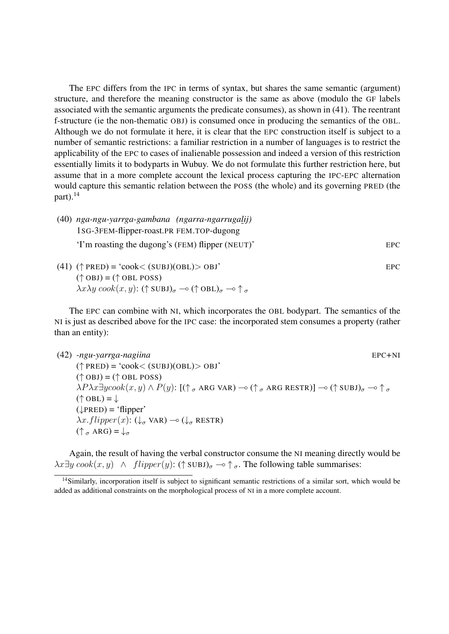The EPC differs from the IPC in terms of syntax, but shares the same semantic (argument) structure, and therefore the meaning constructor is the same as above (modulo the GF labels associated with the semantic arguments the predicate consumes), as shown in (41). The reentrant f-structure (ie the non-thematic OBJ) is consumed once in producing the semantics of the OBL. Although we do not formulate it here, it is clear that the EPC construction itself is subject to a number of semantic restrictions: a familiar restriction in a number of languages is to restrict the applicability of the EPC to cases of inalienable possession and indeed a version of this restriction essentially limits it to bodyparts in Wubuy. We do not formulate this further restriction here, but assume that in a more complete account the lexical process capturing the IPC-EPC alternation would capture this semantic relation between the POSS (the whole) and its governing PRED (the part). $^{14}$ 

- (40) *nga-ngu-yarrga-gambana (ngarra-ngarrugalij)* 1SG-3FEM-flipper-roast.PR FEM.TOP-dugong 'I'm roasting the dugong's (FEM) flipper (NEUT)' EPC
- (41)  $(\uparrow \text{PRED}) = 'cook < (SUBJ)(OBL) > OBJ'$  EPC  $(\uparrow$  OBJ) = ( $\uparrow$  OBL POSS)  $\lambda x \lambda y \, \text{cook}(x, y)$ : († SUBJ) $_{\sigma} \rightarrow$  († OBL) $_{\sigma} \rightarrow$   $_{\sigma}$

The EPC can combine with NI, which incorporates the OBL bodypart. The semantics of the NI is just as described above for the IPC case: the incorporated stem consumes a property (rather than an entity):

(42) *-ngu-yarrga-nagiina* EPC+NI  $(\uparrow$  PRED) = 'cook< (SUBJ)(OBL)> OBJ'  $(\uparrow$  OBJ) = ( $\uparrow$  OBL POSS)  $\lambda P \lambda x \exists y cosh(x, y) \wedge P(y)$ :  $[(\uparrow_{\sigma} \text{ARG VAR}) \negthinspace \rightarrow \negthinspace (\uparrow_{\sigma} \text{ARG RESTR})] \negthinspace \rightarrow \negthinspace (\uparrow \text{SUBJ})_{\sigma} \negthinspace \rightarrow \negthinspace \uparrow_{\sigma}$  $(\uparrow$  OBL) =  $\downarrow$  $(\downarrow PRED) = 'flipper'$  $\lambda x. flipper(x): (\downarrow_{\sigma} \text{VAR}) \rightarrow (\downarrow_{\sigma} \text{RESTR})$  $(\uparrow \, _{\sigma} \text{ARG}) = \downarrow_{\sigma}$ 

Again, the result of having the verbal constructor consume the NI meaning directly would be  $\lambda x \exists y \, \text{cos}(x, y) \land \text{flipper}(y) : (\uparrow \text{SUBJ})_{\sigma} \rightarrow \uparrow_{\sigma}$ . The following table summarises:

<sup>&</sup>lt;sup>14</sup>Similarly, incorporation itself is subject to significant semantic restrictions of a similar sort, which would be added as additional constraints on the morphological process of NI in a more complete account.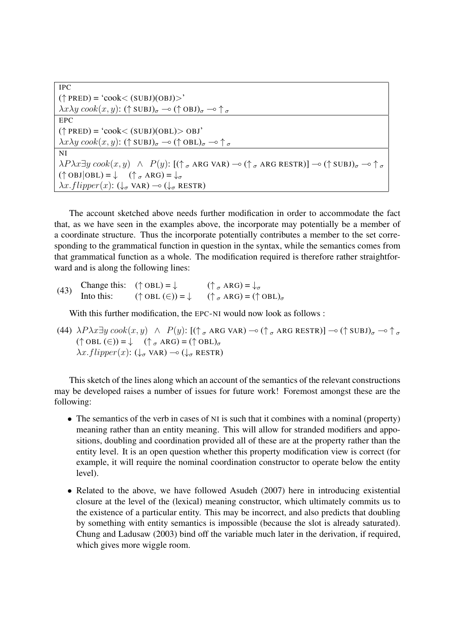| <b>IPC</b>                                                                                                                                                                                                                |
|---------------------------------------------------------------------------------------------------------------------------------------------------------------------------------------------------------------------------|
| $(\uparrow$ PRED) = 'cook< (SUBJ)(OBJ)>'                                                                                                                                                                                  |
| $\lambda x \lambda y \cosh(x, y)$ : († SUBJ) $_{\sigma} \rightarrow$ († OBJ) $_{\sigma} \rightarrow$ $_{\sigma}$                                                                                                          |
| EPC                                                                                                                                                                                                                       |
| $(\uparrow$ PRED) = 'cook< (SUBJ)(OBL)> OBJ'                                                                                                                                                                              |
| $\lambda x \lambda y \cosh(x, y)$ : († SUBJ) <sub><math>\sigma</math></sub> $\rightarrow$ († OBL) <sub><math>\sigma</math></sub> $\rightarrow$ † $\sigma$                                                                 |
| NI                                                                                                                                                                                                                        |
| $\lambda P \lambda x \exists y \, cosk(x, y) \land P(y)$ : $[(\uparrow_{\sigma} \text{ARG VAR}) \neg \circ (\uparrow_{\sigma} \text{ARG RESTR})] \neg \circ (\uparrow \text{SUBJ})_{\sigma} \neg \circ \uparrow_{\sigma}$ |
| $(\uparrow$ OBJ $ OBL) = \downarrow$ $(\uparrow \, _{\sigma} \text{ARG}) = \downarrow_{\sigma}$                                                                                                                           |
| $\lambda x. \text{flipper}(x)$ : $(\downarrow_{\sigma} \text{VAR}) \rightarrow (\downarrow_{\sigma} \text{RESTR})$                                                                                                        |

The account sketched above needs further modification in order to accommodate the fact that, as we have seen in the examples above, the incorporate may potentially be a member of a coordinate structure. Thus the incorporate potentially contributes a member to the set corresponding to the grammatical function in question in the syntax, while the semantics comes from that grammatical function as a whole. The modification required is therefore rather straightforward and is along the following lines:

(43) Change this:  $(\uparrow \text{OBL}) = \downarrow$   $(\uparrow_{\sigma} \text{ARG}) = \downarrow_{\sigma}$ <br>Into this:  $(\uparrow \text{OBL} (\in) ) = \downarrow$   $(\uparrow_{\sigma} \text{ARG}) = (\uparrow \text{OBL})_{\sigma}$ 

With this further modification, the EPC-NI would now look as follows :

(44)  $\lambda P \lambda x \exists y \cosh(x, y) \land P(y)$ :  $[(\uparrow_{\sigma} \text{ARG VAR}) \negthinspace \negthinspace \negthinspace \negthinspace \negthinspace (\uparrow_{\sigma} \text{ARG RESTR})] \negthinspace \negthinspace \negthinspace \negthinspace \negthinspace \negthinspace (\uparrow \text{SUBJ})_{\sigma} \negthinspace \negthinspace \negthinspace \negthinspace \negthinspace \uparrow_{\sigma}$  $(\uparrow$  OBL  $(\in)$ ) =  $\downarrow$  ( $\uparrow$   $_{\sigma}$  ARG) = ( $\uparrow$  OBL) $_{\sigma}$  $\lambda x. flipper(x): (\downarrow_{\sigma} \text{VAR}) \rightarrow (\downarrow_{\sigma} \text{RESTR})$ 

This sketch of the lines along which an account of the semantics of the relevant constructions may be developed raises a number of issues for future work! Foremost amongst these are the following:

- The semantics of the verb in cases of NI is such that it combines with a nominal (property) meaning rather than an entity meaning. This will allow for stranded modifiers and appositions, doubling and coordination provided all of these are at the property rather than the entity level. It is an open question whether this property modification view is correct (for example, it will require the nominal coordination constructor to operate below the entity level).
- Related to the above, we have followed Asudeh (2007) here in introducing existential closure at the level of the (lexical) meaning constructor, which ultimately commits us to the existence of a particular entity. This may be incorrect, and also predicts that doubling by something with entity semantics is impossible (because the slot is already saturated). Chung and Ladusaw (2003) bind off the variable much later in the derivation, if required, which gives more wiggle room.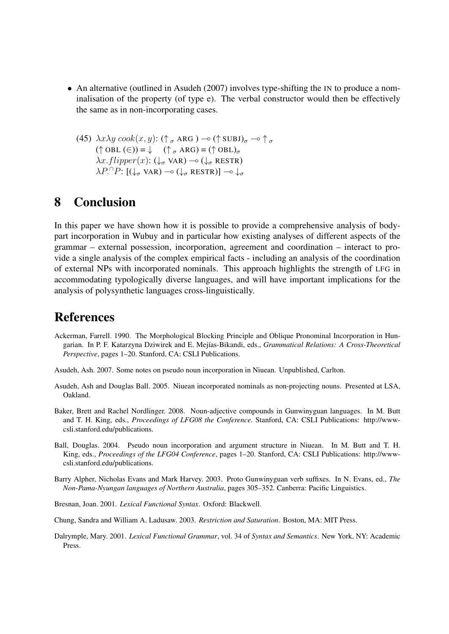- An alternative (outlined in Asudeh (2007) involves type-shifting the IN to produce a nominalisation of the property (of type e). The verbal constructor would then be effectively the same as in non-incorporating cases.
	- (45)  $\lambda x \lambda y \cosh(x, y)$ : ( $\uparrow \sigma$  ARG )  $\multimap$  ( $\uparrow$  SUBJ) $_{\sigma}$   $\multimap$   $\uparrow \sigma$  $(\uparrow$  OBL  $(\in)$ ) =  $\downarrow$  ( $\uparrow$   $_{\sigma}$  ARG) = ( $\uparrow$  OBL) $_{\sigma}$  $\lambda x.flipper(x): (\downarrow_{\sigma} \text{VAR}) \rightarrow (\downarrow_{\sigma} \text{RESTR})$  $\lambda P. \cap P: [(\downarrow_{\sigma} \text{VAR}) \multimap (\downarrow_{\sigma} \text{RESTR})] \multimap \downarrow_{\sigma}$

# 8 Conclusion

In this paper we have shown how it is possible to provide a comprehensive analysis of bodypart incorporation in Wubuy and in particular how existing analyses of different aspects of the grammar – external possession, incorporation, agreement and coordination – interact to provide a single analysis of the complex empirical facts - including an analysis of the coordination of external NPs with incorporated nominals. This approach highlights the strength of LFG in accommodating typologically diverse languages, and will have important implications for the analysis of polysynthetic languages cross-linguistically.

## References

- Ackerman, Farrell. 1990. The Morphological Blocking Principle and Oblique Pronominal Incorporation in Hungarian. In P. F. Katarzyna Dziwirek and E. Mej´ıas-Bikandi, eds., *Grammatical Relations: A Cross-Theoretical Perspective*, pages 1–20. Stanford, CA: CSLI Publications.
- Asudeh, Ash. 2007. Some notes on pseudo noun incorporation in Niuean. Unpublished, Carlton.
- Asudeh, Ash and Douglas Ball. 2005. Niuean incorporated nominals as non-projecting nouns. Presented at LSA, Oakland.
- Baker, Brett and Rachel Nordlinger. 2008. Noun-adjective compounds in Gunwinyguan languages. In M. Butt and T. H. King, eds., *Proceedings of LFG08 the Conference*. Stanford, CA: CSLI Publications: http://wwwcsli.stanford.edu/publications.
- Ball, Douglas. 2004. Pseudo noun incorporation and argument structure in Niuean. In M. Butt and T. H. King, eds., *Proceedings of the LFG04 Conference*, pages 1–20. Stanford, CA: CSLI Publications: http://wwwcsli.stanford.edu/publications.
- Barry Alpher, Nicholas Evans and Mark Harvey. 2003. Proto Gunwinyguan verb suffixes. In N. Evans, ed., *The Non-Pama-Nyungan languages of Northern Australia*, pages 305–352. Canberra: Pacific Linguistics.
- Bresnan, Joan. 2001. *Lexical Functional Syntax*. Oxford: Blackwell.
- Chung, Sandra and William A. Ladusaw. 2003. *Restriction and Saturation*. Boston, MA: MIT Press.
- Dalrymple, Mary. 2001. *Lexical Functional Grammar*, vol. 34 of *Syntax and Semantics*. New York, NY: Academic Press.